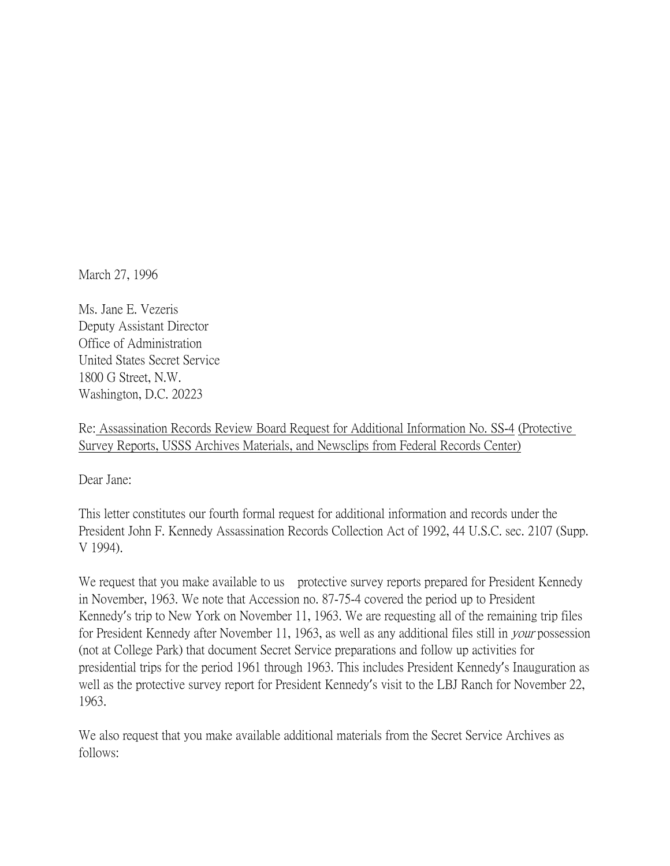March 27, 1996

Ms. Jane E. Vezeris Deputy Assistant Director Office of Administration United States Secret Service 1800 G Street, N.W. Washington, D.C. 20223

Re: Assassination Records Review Board Request for Additional Information No. SS-4 (Protective Survey Reports, USSS Archives Materials, and Newsclips from Federal Records Center)

Dear Jane:

This letter constitutes our fourth formal request for additional information and records under the President John F. Kennedy Assassination Records Collection Act of 1992, 44 U.S.C. sec. 2107 (Supp. V 1994).

We request that you make available to us protective survey reports prepared for President Kennedy in November, 1963. We note that Accession no. 87-75-4 covered the period up to President Kennedy's trip to New York on November 11, 1963. We are requesting all of the remaining trip files for President Kennedy after November 11, 1963, as well as any additional files still in *your* possession (not at College Park) that document Secret Service preparations and follow up activities for presidential trips for the period 1961 through 1963. This includes President Kennedy's Inauguration as well as the protective survey report for President Kennedy's visit to the LBJ Ranch for November 22, 1963.

We also request that you make available additional materials from the Secret Service Archives as follows: